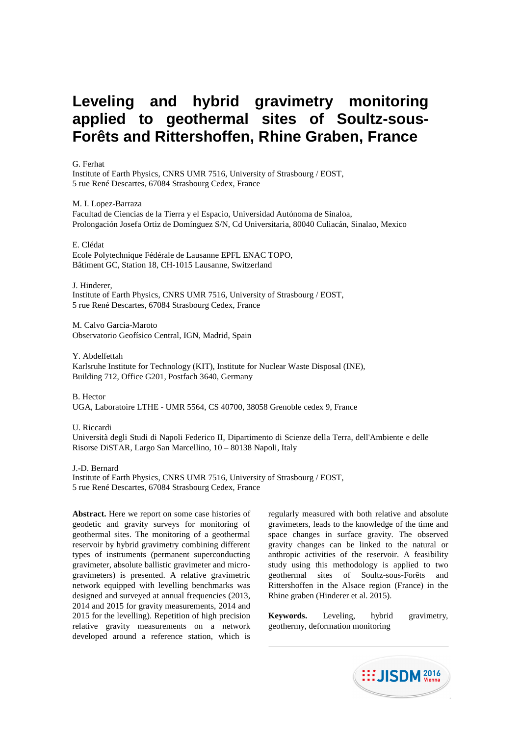# **Leveling and hybrid gravimetry monitoring applied to geothermal sites of Soultz-sous-Forêts and Rittershoffen, Rhine Graben, France**

G. Ferhat

Institute of Earth Physics, CNRS UMR 7516, University of Strasbourg / EOST, 5 rue René Descartes, 67084 Strasbourg Cedex, France

M. I. Lopez-Barraza

Facultad de Ciencias de la Tierra y el Espacio, Universidad Autónoma de Sinaloa, Prolongación Josefa Ortiz de Domínguez S/N, Cd Universitaria, 80040 Culiacán, Sinalao, Mexico

E. Clédat

Ecole Polytechnique Fédérale de Lausanne EPFL ENAC TOPO, Bâtiment GC, Station 18, CH-1015 Lausanne, Switzerland

J. Hinderer, Institute of Earth Physics, CNRS UMR 7516, University of Strasbourg / EOST, 5 rue René Descartes, 67084 Strasbourg Cedex, France

M. Calvo Garcia-Maroto Observatorio Geofísico Central, IGN, Madrid, Spain

Y. Abdelfettah Karlsruhe Institute for Technology (KIT), Institute for Nuclear Waste Disposal (INE), Building 712, Office G201, Postfach 3640, Germany

B. Hector UGA, Laboratoire LTHE - UMR 5564, CS 40700, 38058 Grenoble cedex 9, France

U. Riccardi

Università degli Studi di Napoli Federico II, Dipartimento di Scienze della Terra, dell'Ambiente e delle Risorse DiSTAR, Largo San Marcellino, 10 – 80138 Napoli, Italy

J.-D. Bernard

Institute of Earth Physics, CNRS UMR 7516, University of Strasbourg / EOST, 5 rue René Descartes, 67084 Strasbourg Cedex, France

**Abstract.** Here we report on some case histories of geodetic and gravity surveys for monitoring of geothermal sites. The monitoring of a geothermal reservoir by hybrid gravimetry combining different types of instruments (permanent superconducting gravimeter, absolute ballistic gravimeter and microgravimeters) is presented. A relative gravimetric network equipped with levelling benchmarks was designed and surveyed at annual frequencies (2013, 2014 and 2015 for gravity measurements, 2014 and 2015 for the levelling). Repetition of high precision relative gravity measurements on a network developed around a reference station, which is

regularly measured with both relative and absolute gravimeters, leads to the knowledge of the time and space changes in surface gravity. The observed gravity changes can be linked to the natural or anthropic activities of the reservoir. A feasibility study using this methodology is applied to two geothermal sites of Soultz-sous-Forêts and Rittershoffen in the Alsace region (France) in the Rhine graben (Hinderer et al. 2015).

**Keywords.** Leveling, hybrid gravimetry, geothermy, deformation monitoring

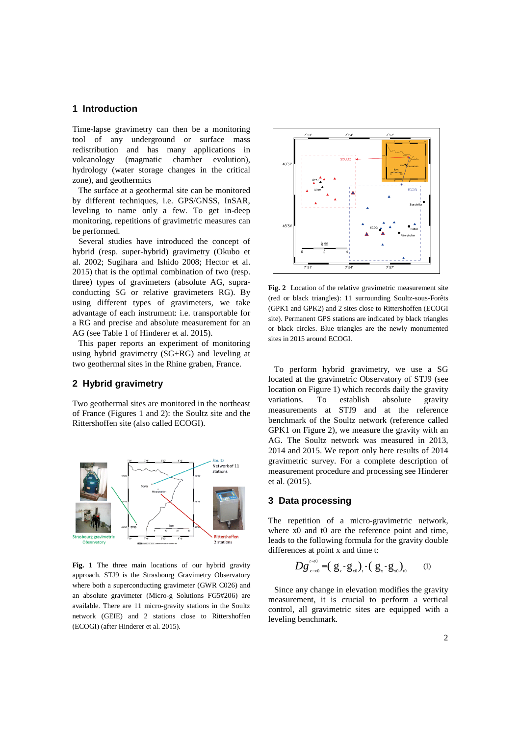## **1 Introduction**

Time-lapse gravimetry can then be a monitoring tool of any underground or surface mass redistribution and has many applications in volcanology (magmatic chamber evolution), hydrology (water storage changes in the critical zone), and geothermics

The surface at a geothermal site can be monitored by different techniques, i.e. GPS/GNSS, InSAR, leveling to name only a few. To get in-deep monitoring, repetitions of gravimetric measures can be performed.

Several studies have introduced the concept of hybrid (resp. super-hybrid) gravimetry (Okubo et al. 2002; Sugihara and Ishido 2008; Hector et al. 2015) that is the optimal combination of two (resp. three) types of gravimeters (absolute AG, supraconducting SG or relative gravimeters RG). By using different types of gravimeters, we take advantage of each instrument: i.e. transportable for a RG and precise and absolute measurement for an AG (see Table 1 of Hinderer et al. 2015).

This paper reports an experiment of monitoring using hybrid gravimetry (SG+RG) and leveling at two geothermal sites in the Rhine graben, France.

## **2 Hybrid gravimetry**

Two geothermal sites are monitored in the northeast of France (Figures 1 and 2): the Soultz site and the Rittershoffen site (also called ECOGI).



**Fig. 1** The three main locations of our hybrid gravity approach. STJ9 is the Strasbourg Gravimetry Observatory where both a superconducting gravimeter (GWR C026) and an absolute gravimeter (Micro-g Solutions FG5#206) are available. There are 11 micro-gravity stations in the Soultz network (GEIE) and 2 stations close to Rittershoffen (ECOGI) (after Hinderer et al. 2015).



**Fig. 2** Location of the relative gravimetric measurement site (red or black triangles): 11 surrounding Soultz-sous-Forêts (GPK1 and GPK2) and 2 sites close to Rittershoffen (ECOGI site). Permanent GPS stations are indicated by black triangles or black circles. Blue triangles are the newly monumented sites in 2015 around ECOGI.

To perform hybrid gravimetry, we use a SG located at the gravimetric Observatory of STJ9 (see location on Figure 1) which records daily the gravity variations. To establish absolute gravity measurements at STJ9 and at the reference benchmark of the Soultz network (reference called GPK1 on Figure 2), we measure the gravity with an AG. The Soultz network was measured in 2013, 2014 and 2015. We report only here results of 2014 gravimetric survey. For a complete description of measurement procedure and processing see Hinderer et al. (2015).

## **3 Data processing**

The repetition of a micro-gravimetric network, where  $x0$  and  $t0$  are the reference point and time, leads to the following formula for the gravity double differences at point x and time t:

$$
Dg_{x-x0}^{t-10} = (g_x - g_{x0})_t - (g_x - g_{x0})_{t0} \qquad (1)
$$

Since any change in elevation modifies the gravity measurement, it is crucial to perform a vertical control, all gravimetric sites are equipped with a leveling benchmark.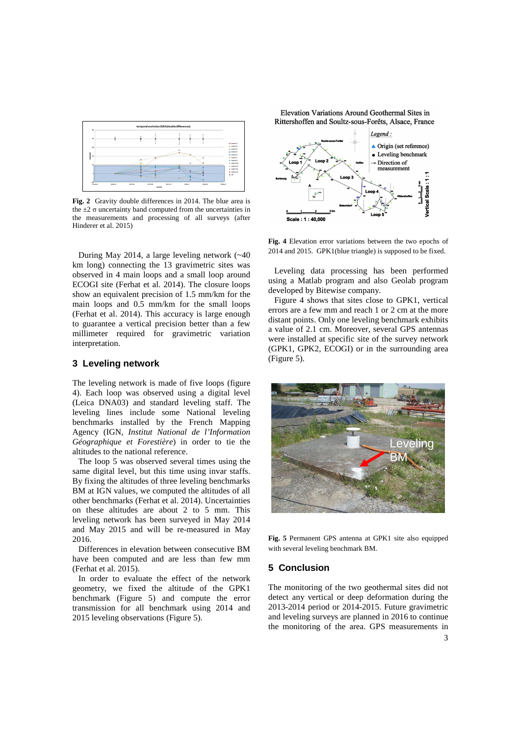

**Fig. 2** Gravity double differences in 2014. The blue area is the  $\pm 2 \sigma$  uncertainty band computed from the uncertainties in the measurements and processing of all surveys (after Hinderer et al. 2015)

During May 2014, a large leveling network (~40 km long) connecting the 13 gravimetric sites was observed in 4 main loops and a small loop around ECOGI site (Ferhat et al. 2014). The closure loops show an equivalent precision of 1.5 mm/km for the main loops and 0.5 mm/km for the small loops (Ferhat et al. 2014). This accuracy is large enough to guarantee a vertical precision better than a few millimeter required for gravimetric variation interpretation.

## **3 Leveling network**

The leveling network is made of five loops (figure 4). Each loop was observed using a digital level (Leica DNA03) and standard leveling staff. The leveling lines include some National leveling benchmarks installed by the French Mapping Agency (IGN, *Institut National de l'Information Géographique et Forestière*) in order to tie the altitudes to the national reference.

The loop 5 was observed several times using the same digital level, but this time using invar staffs. By fixing the altitudes of three leveling benchmarks BM at IGN values, we computed the altitudes of all other benchmarks (Ferhat et al. 2014). Uncertainties on these altitudes are about 2 to 5 mm. This leveling network has been surveyed in May 2014 and May 2015 and will be re-measured in May 2016.

Differences in elevation between consecutive BM have been computed and are less than few mm (Ferhat et al. 2015).

In order to evaluate the effect of the network geometry, we fixed the altitude of the GPK1 benchmark (Figure 5) and compute the error transmission for all benchmark using 2014 and 2015 leveling observations (Figure 5).

Elevation Variations Around Geothermal Sites in Rittershoffen and Soultz-sous-Forêts, Alsace, France



**Fig. 4** Elevation error variations between the two epochs of 2014 and 2015. GPK1(blue triangle) is supposed to be fixed.

Leveling data processing has been performed using a Matlab program and also Geolab program developed by Bitewise company.

Figure 4 shows that sites close to GPK1, vertical errors are a few mm and reach 1 or 2 cm at the more distant points. Only one leveling benchmark exhibits a value of 2.1 cm. Moreover, several GPS antennas were installed at specific site of the survey network (GPK1, GPK2, ECOGI) or in the surrounding area (Figure 5).



**Fig. 5** Permanent GPS antenna at GPK1 site also equipped with several leveling benchmark BM.

## **5 Conclusion**

The monitoring of the two geothermal sites did not detect any vertical or deep deformation during the 2013-2014 period or 2014-2015. Future gravimetric and leveling surveys are planned in 2016 to continue the monitoring of the area. GPS measurements in